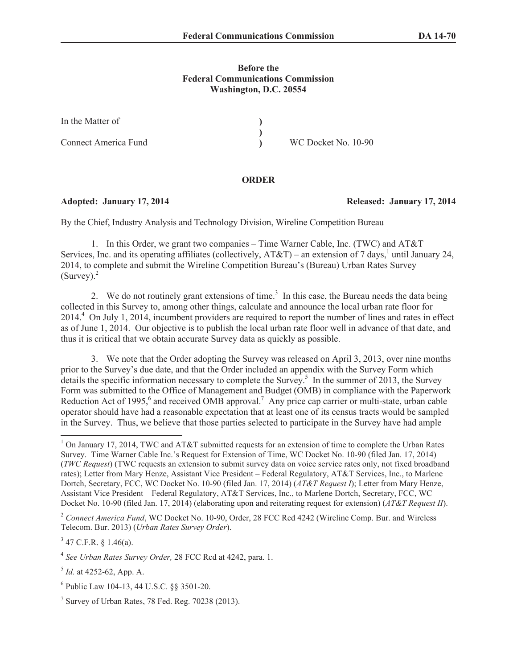## **Before the Federal Communications Commission Washington, D.C. 20554**

| In the Matter of     |                     |
|----------------------|---------------------|
|                      |                     |
| Connect America Fund | WC Docket No. 10-90 |

## **ORDER**

## **Adopted: January 17, 2014 Released: January 17, 2014**

By the Chief, Industry Analysis and Technology Division, Wireline Competition Bureau

1. In this Order, we grant two companies – Time Warner Cable, Inc. (TWC) and AT&T Services, Inc. and its operating affiliates (collectively,  $AT&T$ ) – an extension of 7 days,<sup>1</sup> until January 24, 2014, to complete and submit the Wireline Competition Bureau's (Bureau) Urban Rates Survey (Survey). 2

2. We do not routinely grant extensions of time.<sup>3</sup> In this case, the Bureau needs the data being collected in this Survey to, among other things, calculate and announce the local urban rate floor for 2014.<sup>4</sup> On July 1, 2014, incumbent providers are required to report the number of lines and rates in effect as of June 1, 2014. Our objective is to publish the local urban rate floor well in advance of that date, and thus it is critical that we obtain accurate Survey data as quickly as possible.

3. We note that the Order adopting the Survey was released on April 3, 2013, over nine months prior to the Survey's due date, and that the Order included an appendix with the Survey Form which details the specific information necessary to complete the Survey.<sup>5</sup> In the summer of 2013, the Survey Form was submitted to the Office of Management and Budget (OMB) in compliance with the Paperwork Reduction Act of 1995,<sup>6</sup> and received OMB approval.<sup>7</sup> Any price cap carrier or multi-state, urban cable operator should have had a reasonable expectation that at least one of its census tracts would be sampled in the Survey. Thus, we believe that those parties selected to participate in the Survey have had ample

 $3$  47 C.F.R. § 1.46(a).

<sup>&</sup>lt;sup>1</sup> On January 17, 2014, TWC and AT&T submitted requests for an extension of time to complete the Urban Rates Survey. Time Warner Cable Inc.'s Request for Extension of Time, WC Docket No. 10-90 (filed Jan. 17, 2014) (*TWC Request*) (TWC requests an extension to submit survey data on voice service rates only, not fixed broadband rates); Letter from Mary Henze, Assistant Vice President – Federal Regulatory, AT&T Services, Inc., to Marlene Dortch, Secretary, FCC, WC Docket No. 10-90 (filed Jan. 17, 2014) (*AT&T Request I*); Letter from Mary Henze, Assistant Vice President – Federal Regulatory, AT&T Services, Inc., to Marlene Dortch, Secretary, FCC, WC Docket No. 10-90 (filed Jan. 17, 2014) (elaborating upon and reiterating request for extension) (*AT&T Request II*).

<sup>2</sup> *Connect America Fund*, WC Docket No. 10-90, Order, 28 FCC Rcd 4242 (Wireline Comp. Bur. and Wireless Telecom. Bur. 2013) (*Urban Rates Survey Order*).

<sup>4</sup> *See Urban Rates Survey Order,* 28 FCC Rcd at 4242, para. 1.

<sup>5</sup> *Id.* at 4252-62, App. A.

<sup>6</sup> Public Law 104-13, 44 U.S.C. §§ 3501-20.

 $7$  Survey of Urban Rates, 78 Fed. Reg. 70238 (2013).